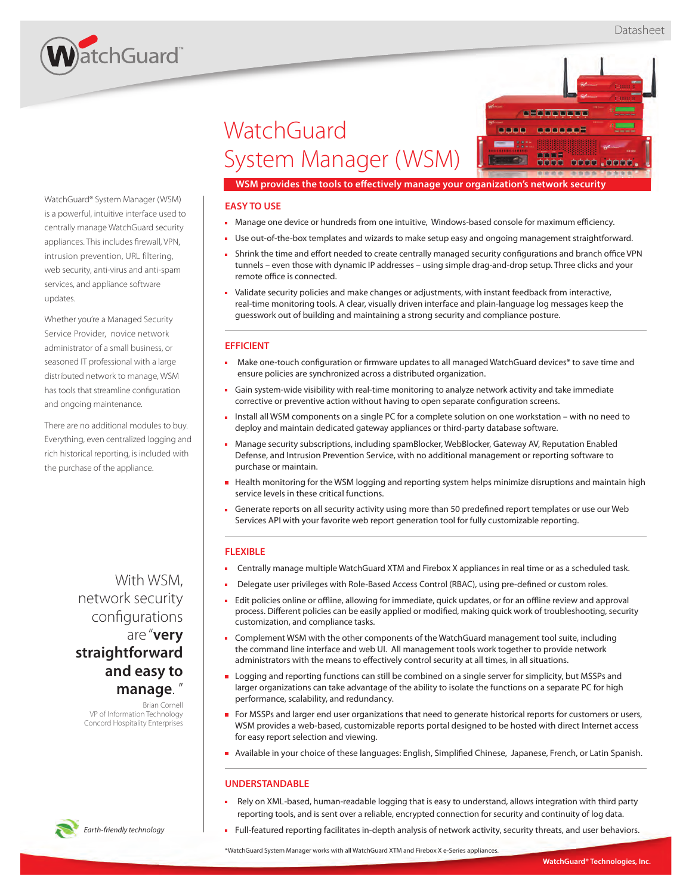

# **WatchGuard** System Manager (WSM)



**WSM provides the tools to effectively manage your organization's network security** 

## **EASY TO USE**

- Manage one device or hundreds from one intuitive, Windows-based console for maximum efficiency.
- Use out-of-the-box templates and wizards to make setup easy and ongoing management straightforward.
- In Shrink the time and effort needed to create centrally managed security configurations and branch office VPN tunnels – even those with dynamic IP addresses – using simple drag-and-drop setup. Three clicks and your remote office is connected.
- Validate security policies and make changes or adjustments, with instant feedback from interactive, real-time monitoring tools. A clear, visually driven interface and plain-language log messages keep the guesswork out of building and maintaining a strong security and compliance posture.

#### **EFFICIENT**

- Make one-touch configuration or firmware updates to all managed WatchGuard devices\* to save time and ensure policies are synchronized across a distributed organization.
- Gain system-wide visibility with real-time monitoring to analyze network activity and take immediate corrective or preventive action without having to open separate configuration screens.
- Install all WSM components on a single PC for a complete solution on one workstation with no need to deploy and maintain dedicated gateway appliances or third-party database software.
- Manage security subscriptions, including spamBlocker, WebBlocker, Gateway AV, Reputation Enabled Defense, and Intrusion Prevention Service, with no additional management or reporting software to purchase or maintain.
- Health monitoring for the WSM logging and reporting system helps minimize disruptions and maintain high service levels in these critical functions.
- Generate reports on all security activity using more than 50 predefined report templates or use our Web Services API with your favorite web report generation tool for fully customizable reporting.

## **FLEXIBLE**

- Centrally manage multiple WatchGuard XTM and Firebox X appliances in real time or as a scheduled task.
- Delegate user privileges with Role-Based Access Control (RBAC), using pre-defined or custom roles.
- Edit policies online or offline, allowing for immediate, quick updates, or for an offline review and approval process. Different policies can be easily applied or modified, making quick work of troubleshooting, security customization, and compliance tasks.
- Complement WSM with the other components of the WatchGuard management tool suite, including the command line interface and web UI. All management tools work together to provide network administrators with the means to effectively control security at all times, in all situations.
- **Logging and reporting functions can still be combined on a single server for simplicity, but MSSPs and** larger organizations can take advantage of the ability to isolate the functions on a separate PC for high performance, scalability, and redundancy.
- For MSSPs and larger end user organizations that need to generate historical reports for customers or users, WSM provides a web-based, customizable reports portal designed to be hosted with direct Internet access for easy report selection and viewing.
- Nailable in your choice of these languages: English, Simplified Chinese, Japanese, French, or Latin Spanish.

## **UNDERSTANDABLE**

- Rely on XML-based, human-readable logging that is easy to understand, allows integration with third party reporting tools, and is sent over a reliable, encrypted connection for security and continuity of log data.
- Full-featured reporting facilitates in-depth analysis of network activity, security threats, and user behaviors.

\*WatchGuard System Manager works with all WatchGuard XTM and Firebox X e-Series appliances.

WatchGuard® System Manager (WSM) is a powerful, intuitive interface used to centrally manage WatchGuard security appliances. This includes firewall, VPN, intrusion prevention, URL filtering, web security, anti-virus and anti-spam services, and appliance software updates.

Whether you're a Managed Security Service Provider, novice network administrator of a small business, or seasoned IT professional with a large distributed network to manage, WSM has tools that streamline configuration and ongoing maintenance.

There are no additional modules to buy. Everything, even centralized logging and rich historical reporting, is included with the purchase of the appliance.

> With WSM, network security configurations are "**very straightforward and easy to manage**. "

Brian Cornell VP of Information Technology Concord Hospitality Enterprises

*Earth-friendly technology*